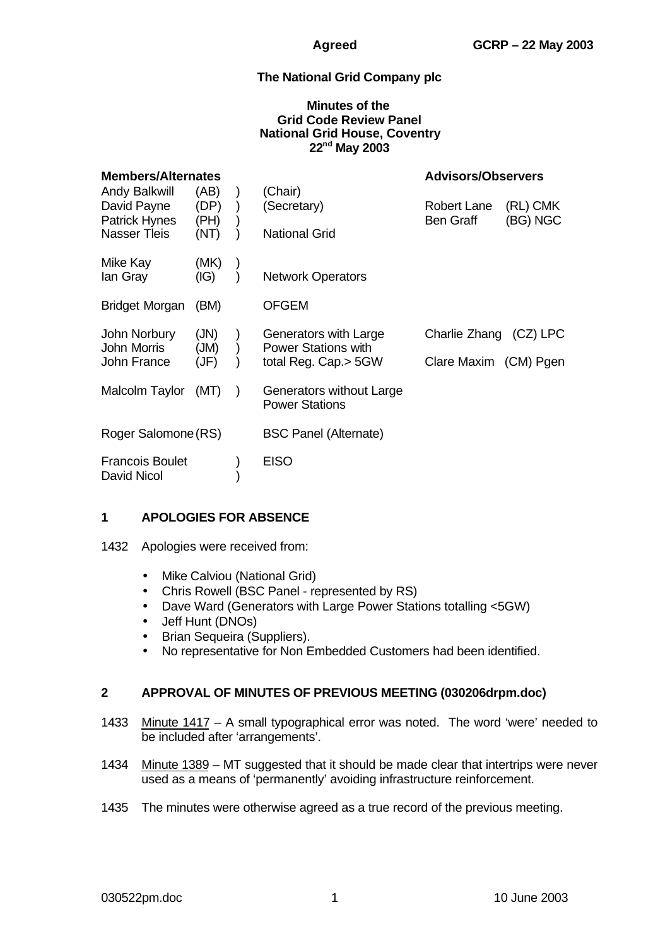# **The National Grid Company plc**

#### **Minutes of the Grid Code Review Panel National Grid House, Coventry 22nd May 2003**

| <b>Members/Alternates</b>                                                   |                              |  |                                                                             | <b>Advisors/Observers</b>                       |                      |
|-----------------------------------------------------------------------------|------------------------------|--|-----------------------------------------------------------------------------|-------------------------------------------------|----------------------|
| Andy Balkwill<br>David Payne<br><b>Patrick Hynes</b><br><b>Nasser Tleis</b> | (AB)<br>(DP)<br>(PH)<br>(NT) |  | (Chair)<br>(Secretary)<br><b>National Grid</b>                              | <b>Robert Lane</b><br><b>Ben Graff</b>          | (RL) CMK<br>(BG) NGC |
| Mike Kay<br>lan Gray                                                        | (MK)<br>(IG)                 |  | <b>Network Operators</b>                                                    |                                                 |                      |
| <b>Bridget Morgan</b>                                                       | (BM)                         |  | <b>OFGEM</b>                                                                |                                                 |                      |
| John Norbury<br>John Morris<br>John France                                  | (JN)<br>(MU)<br>(JF)         |  | Generators with Large<br><b>Power Stations with</b><br>total Reg. Cap.> 5GW | Charlie Zhang (CZ) LPC<br>Clare Maxim (CM) Pgen |                      |
| Malcolm Taylor                                                              | (MT)                         |  | Generators without Large<br><b>Power Stations</b>                           |                                                 |                      |
| Roger Salomone (RS)                                                         |                              |  | <b>BSC Panel (Alternate)</b>                                                |                                                 |                      |
| <b>Francois Boulet</b><br>David Nicol                                       |                              |  | <b>EISO</b>                                                                 |                                                 |                      |

### **1 APOLOGIES FOR ABSENCE**

1432 Apologies were received from:

- Mike Calviou (National Grid)
- Chris Rowell (BSC Panel represented by RS)
- Dave Ward (Generators with Large Power Stations totalling <5GW)
- Jeff Hunt (DNOs)
- Brian Sequeira (Suppliers).
- No representative for Non Embedded Customers had been identified.

### **2 APPROVAL OF MINUTES OF PREVIOUS MEETING (030206drpm.doc)**

- 1433 Minute 1417 A small typographical error was noted. The word 'were' needed to be included after 'arrangements'.
- 1434 Minute 1389 MT suggested that it should be made clear that intertrips were never used as a means of 'permanently' avoiding infrastructure reinforcement.
- 1435 The minutes were otherwise agreed as a true record of the previous meeting.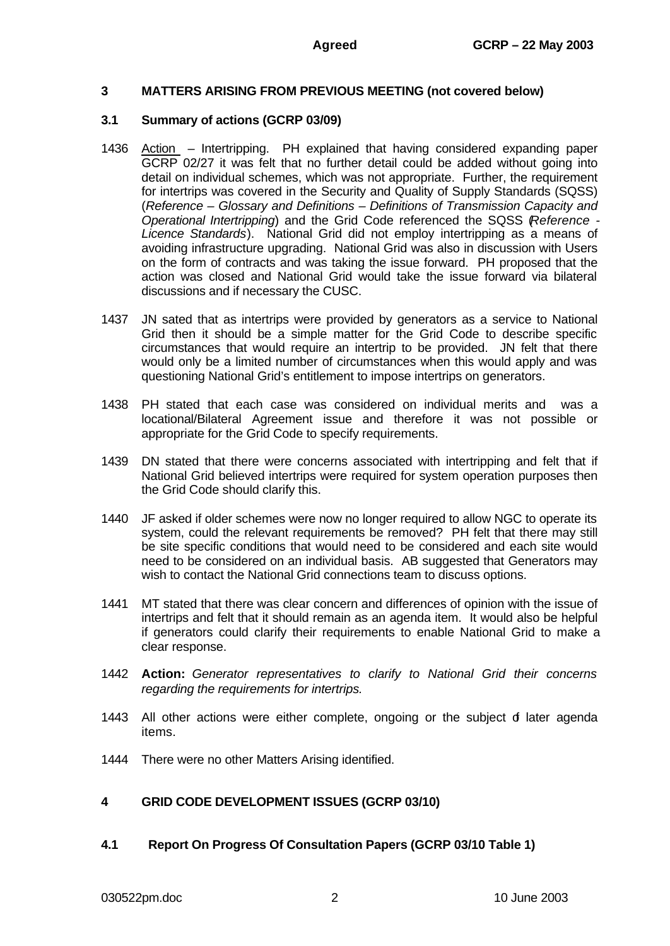### **3 MATTERS ARISING FROM PREVIOUS MEETING (not covered below)**

#### **3.1 Summary of actions (GCRP 03/09)**

- 1436 Action Intertripping. PH explained that having considered expanding paper GCRP 02/27 it was felt that no further detail could be added without going into detail on individual schemes, which was not appropriate. Further, the requirement for intertrips was covered in the Security and Quality of Supply Standards (SQSS) (*Reference – Glossary and Definitions – Definitions of Transmission Capacity and Operational Intertripping*) and the Grid Code referenced the SQSS (*Reference - Licence Standards*). National Grid did not employ intertripping as a means of avoiding infrastructure upgrading. National Grid was also in discussion with Users on the form of contracts and was taking the issue forward. PH proposed that the action was closed and National Grid would take the issue forward via bilateral discussions and if necessary the CUSC.
- 1437 JN sated that as intertrips were provided by generators as a service to National Grid then it should be a simple matter for the Grid Code to describe specific circumstances that would require an intertrip to be provided. JN felt that there would only be a limited number of circumstances when this would apply and was questioning National Grid's entitlement to impose intertrips on generators.
- 1438 PH stated that each case was considered on individual merits and was a locational/Bilateral Agreement issue and therefore it was not possible or appropriate for the Grid Code to specify requirements.
- 1439 DN stated that there were concerns associated with intertripping and felt that if National Grid believed intertrips were required for system operation purposes then the Grid Code should clarify this.
- 1440 JF asked if older schemes were now no longer required to allow NGC to operate its system, could the relevant requirements be removed? PH felt that there may still be site specific conditions that would need to be considered and each site would need to be considered on an individual basis. AB suggested that Generators may wish to contact the National Grid connections team to discuss options.
- 1441 MT stated that there was clear concern and differences of opinion with the issue of intertrips and felt that it should remain as an agenda item. It would also be helpful if generators could clarify their requirements to enable National Grid to make a clear response.
- 1442 **Action:** *Generator representatives to clarify to National Grid their concerns regarding the requirements for intertrips.*
- 1443 All other actions were either complete, ongoing or the subject of later agenda items.
- 1444 There were no other Matters Arising identified.

### **4 GRID CODE DEVELOPMENT ISSUES (GCRP 03/10)**

**4.1 Report On Progress Of Consultation Papers (GCRP 03/10 Table 1)**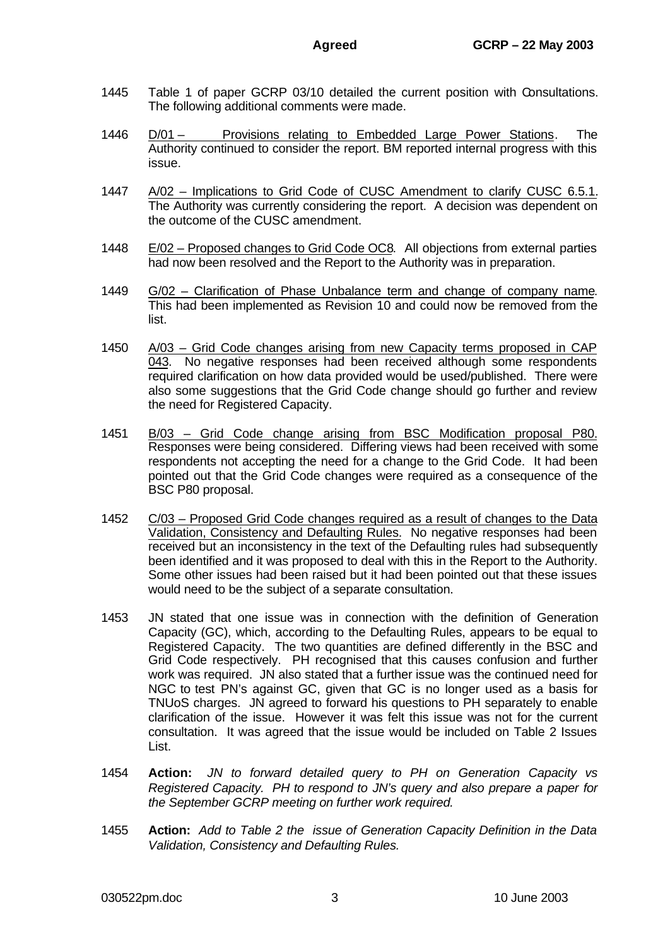- 1445 Table 1 of paper GCRP 03/10 detailed the current position with Consultations. The following additional comments were made.
- 1446 D/01 Provisions relating to Embedded Large Power Stations. The Authority continued to consider the report. BM reported internal progress with this issue.
- 1447 A/02 Implications to Grid Code of CUSC Amendment to clarify CUSC 6.5.1. The Authority was currently considering the report. A decision was dependent on the outcome of the CUSC amendment.
- 1448 E/02 Proposed changes to Grid Code OC8. All objections from external parties had now been resolved and the Report to the Authority was in preparation.
- 1449 G/02 Clarification of Phase Unbalance term and change of company name. This had been implemented as Revision 10 and could now be removed from the list.
- 1450 A/03 Grid Code changes arising from new Capacity terms proposed in CAP 043. No negative responses had been received although some respondents required clarification on how data provided would be used/published. There were also some suggestions that the Grid Code change should go further and review the need for Registered Capacity.
- 1451 B/03 Grid Code change arising from BSC Modification proposal P80. Responses were being considered. Differing views had been received with some respondents not accepting the need for a change to the Grid Code. It had been pointed out that the Grid Code changes were required as a consequence of the BSC P80 proposal.
- 1452 C/03 Proposed Grid Code changes required as a result of changes to the Data Validation, Consistency and Defaulting Rules. No negative responses had been received but an inconsistency in the text of the Defaulting rules had subsequently been identified and it was proposed to deal with this in the Report to the Authority. Some other issues had been raised but it had been pointed out that these issues would need to be the subject of a separate consultation.
- 1453 JN stated that one issue was in connection with the definition of Generation Capacity (GC), which, according to the Defaulting Rules, appears to be equal to Registered Capacity. The two quantities are defined differently in the BSC and Grid Code respectively. PH recognised that this causes confusion and further work was required. JN also stated that a further issue was the continued need for NGC to test PN's against GC, given that GC is no longer used as a basis for TNUoS charges. JN agreed to forward his questions to PH separately to enable clarification of the issue. However it was felt this issue was not for the current consultation. It was agreed that the issue would be included on Table 2 Issues List.
- 1454 **Action:** *JN to forward detailed query to PH on Generation Capacity vs Registered Capacity. PH to respond to JN's query and also prepare a paper for the September GCRP meeting on further work required.*
- 1455 **Action:** *Add to Table 2 the issue of Generation Capacity Definition in the Data Validation, Consistency and Defaulting Rules.*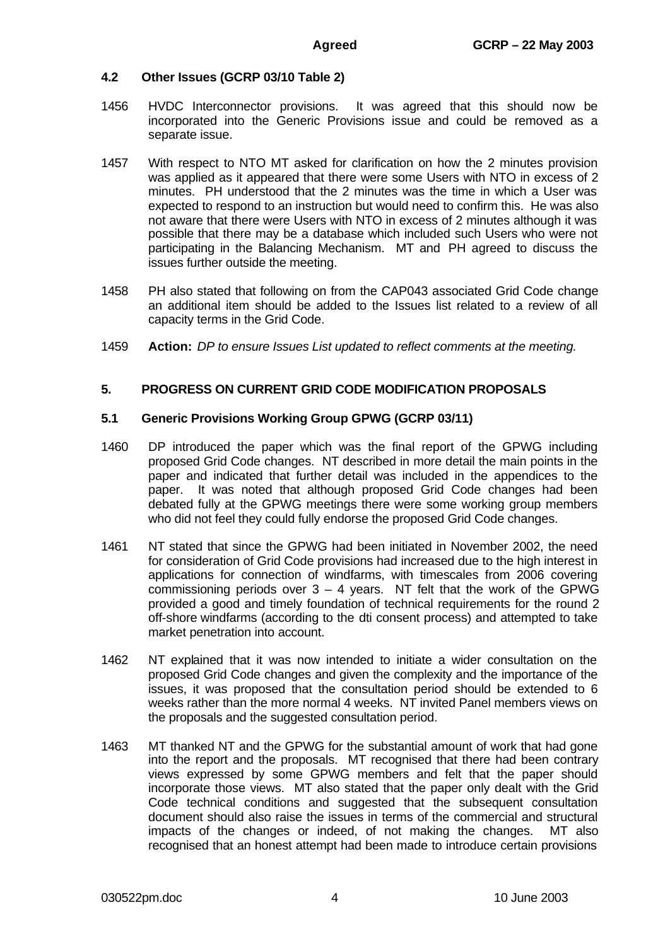#### **4.2 Other Issues (GCRP 03/10 Table 2)**

- 1456 HVDC Interconnector provisions. It was agreed that this should now be incorporated into the Generic Provisions issue and could be removed as a separate issue.
- 1457 With respect to NTO MT asked for clarification on how the 2 minutes provision was applied as it appeared that there were some Users with NTO in excess of 2 minutes. PH understood that the 2 minutes was the time in which a User was expected to respond to an instruction but would need to confirm this. He was also not aware that there were Users with NTO in excess of 2 minutes although it was possible that there may be a database which included such Users who were not participating in the Balancing Mechanism. MT and PH agreed to discuss the issues further outside the meeting.
- 1458 PH also stated that following on from the CAP043 associated Grid Code change an additional item should be added to the Issues list related to a review of all capacity terms in the Grid Code.
- 1459 **Action:** *DP to ensure Issues List updated to reflect comments at the meeting.*

#### **5. PROGRESS ON CURRENT GRID CODE MODIFICATION PROPOSALS**

#### **5.1 Generic Provisions Working Group GPWG (GCRP 03/11)**

- 1460 DP introduced the paper which was the final report of the GPWG including proposed Grid Code changes. NT described in more detail the main points in the paper and indicated that further detail was included in the appendices to the paper. It was noted that although proposed Grid Code changes had been debated fully at the GPWG meetings there were some working group members who did not feel they could fully endorse the proposed Grid Code changes.
- 1461 NT stated that since the GPWG had been initiated in November 2002, the need for consideration of Grid Code provisions had increased due to the high interest in applications for connection of windfarms, with timescales from 2006 covering commissioning periods over  $3 - 4$  years. NT felt that the work of the GPWG provided a good and timely foundation of technical requirements for the round 2 off-shore windfarms (according to the dti consent process) and attempted to take market penetration into account.
- 1462 NT explained that it was now intended to initiate a wider consultation on the proposed Grid Code changes and given the complexity and the importance of the issues, it was proposed that the consultation period should be extended to 6 weeks rather than the more normal 4 weeks. NT invited Panel members views on the proposals and the suggested consultation period.
- 1463 MT thanked NT and the GPWG for the substantial amount of work that had gone into the report and the proposals. MT recognised that there had been contrary views expressed by some GPWG members and felt that the paper should incorporate those views. MT also stated that the paper only dealt with the Grid Code technical conditions and suggested that the subsequent consultation document should also raise the issues in terms of the commercial and structural impacts of the changes or indeed, of not making the changes. MT also recognised that an honest attempt had been made to introduce certain provisions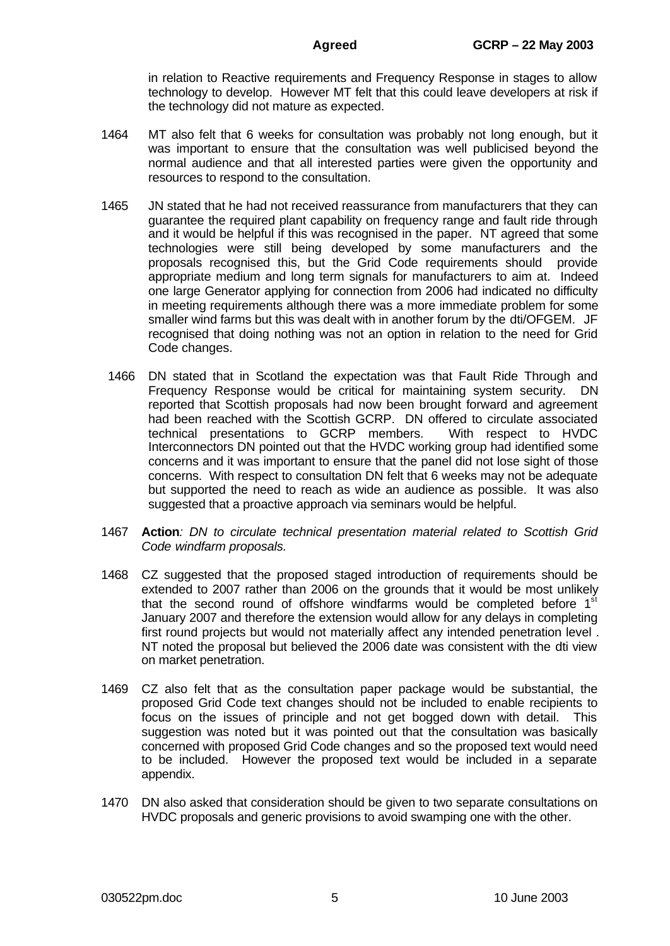in relation to Reactive requirements and Frequency Response in stages to allow technology to develop. However MT felt that this could leave developers at risk if the technology did not mature as expected.

- 1464 MT also felt that 6 weeks for consultation was probably not long enough, but it was important to ensure that the consultation was well publicised beyond the normal audience and that all interested parties were given the opportunity and resources to respond to the consultation.
- 1465 JN stated that he had not received reassurance from manufacturers that they can guarantee the required plant capability on frequency range and fault ride through and it would be helpful if this was recognised in the paper. NT agreed that some technologies were still being developed by some manufacturers and the proposals recognised this, but the Grid Code requirements should provide appropriate medium and long term signals for manufacturers to aim at. Indeed one large Generator applying for connection from 2006 had indicated no difficulty in meeting requirements although there was a more immediate problem for some smaller wind farms but this was dealt with in another forum by the dti/OFGEM. JF recognised that doing nothing was not an option in relation to the need for Grid Code changes.
- 1466 DN stated that in Scotland the expectation was that Fault Ride Through and Frequency Response would be critical for maintaining system security. DN reported that Scottish proposals had now been brought forward and agreement had been reached with the Scottish GCRP. DN offered to circulate associated technical presentations to GCRP members. With respect to HVDC Interconnectors DN pointed out that the HVDC working group had identified some concerns and it was important to ensure that the panel did not lose sight of those concerns. With respect to consultation DN felt that 6 weeks may not be adequate but supported the need to reach as wide an audience as possible. It was also suggested that a proactive approach via seminars would be helpful.
- 1467 **Action***: DN to circulate technical presentation material related to Scottish Grid Code windfarm proposals.*
- 1468 CZ suggested that the proposed staged introduction of requirements should be extended to 2007 rather than 2006 on the grounds that it would be most unlikely that the second round of offshore windfarms would be completed before 1<sup>st</sup> January 2007 and therefore the extension would allow for any delays in completing first round projects but would not materially affect any intended penetration level . NT noted the proposal but believed the 2006 date was consistent with the dti view on market penetration.
- 1469 CZ also felt that as the consultation paper package would be substantial, the proposed Grid Code text changes should not be included to enable recipients to focus on the issues of principle and not get bogged down with detail. This suggestion was noted but it was pointed out that the consultation was basically concerned with proposed Grid Code changes and so the proposed text would need to be included. However the proposed text would be included in a separate appendix.
- 1470 DN also asked that consideration should be given to two separate consultations on HVDC proposals and generic provisions to avoid swamping one with the other.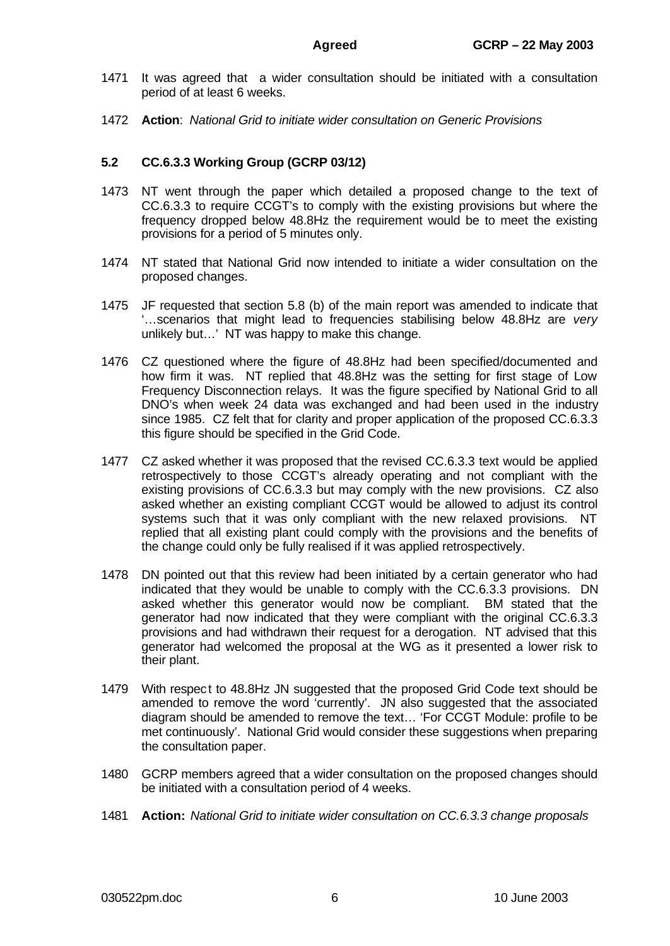- 1471 It was agreed that a wider consultation should be initiated with a consultation period of at least 6 weeks.
- 1472 **Action**: *National Grid to initiate wider consultation on Generic Provisions*

# **5.2 CC.6.3.3 Working Group (GCRP 03/12)**

- 1473 NT went through the paper which detailed a proposed change to the text of CC.6.3.3 to require CCGT's to comply with the existing provisions but where the frequency dropped below 48.8Hz the requirement would be to meet the existing provisions for a period of 5 minutes only.
- 1474 NT stated that National Grid now intended to initiate a wider consultation on the proposed changes.
- 1475 JF requested that section 5.8 (b) of the main report was amended to indicate that '…scenarios that might lead to frequencies stabilising below 48.8Hz are *very* unlikely but…' NT was happy to make this change.
- 1476 CZ questioned where the figure of 48.8Hz had been specified/documented and how firm it was. NT replied that 48.8Hz was the setting for first stage of Low Frequency Disconnection relays. It was the figure specified by National Grid to all DNO's when week 24 data was exchanged and had been used in the industry since 1985. CZ felt that for clarity and proper application of the proposed CC.6.3.3 this figure should be specified in the Grid Code.
- 1477 CZ asked whether it was proposed that the revised CC.6.3.3 text would be applied retrospectively to those CCGT's already operating and not compliant with the existing provisions of CC.6.3.3 but may comply with the new provisions. CZ also asked whether an existing compliant CCGT would be allowed to adjust its control systems such that it was only compliant with the new relaxed provisions. NT replied that all existing plant could comply with the provisions and the benefits of the change could only be fully realised if it was applied retrospectively.
- 1478 DN pointed out that this review had been initiated by a certain generator who had indicated that they would be unable to comply with the CC.6.3.3 provisions. DN asked whether this generator would now be compliant. BM stated that the generator had now indicated that they were compliant with the original CC.6.3.3 provisions and had withdrawn their request for a derogation. NT advised that this generator had welcomed the proposal at the WG as it presented a lower risk to their plant.
- 1479 With respect to 48.8Hz JN suggested that the proposed Grid Code text should be amended to remove the word 'currently'. JN also suggested that the associated diagram should be amended to remove the text… 'For CCGT Module: profile to be met continuously'. National Grid would consider these suggestions when preparing the consultation paper.
- 1480 GCRP members agreed that a wider consultation on the proposed changes should be initiated with a consultation period of 4 weeks.
- 1481 **Action:** *National Grid to initiate wider consultation on CC.6.3.3 change proposals*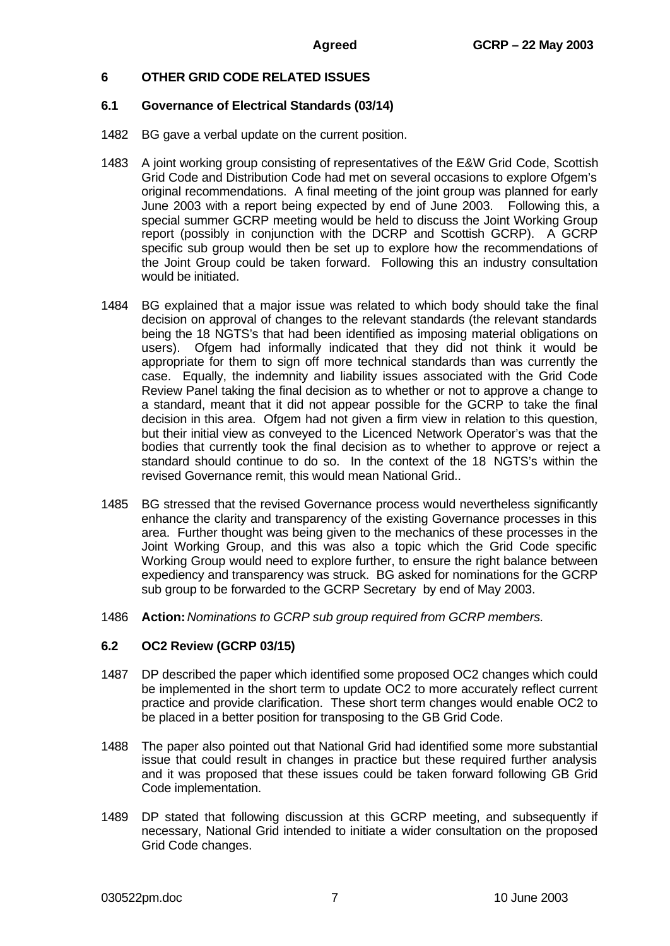# **6 OTHER GRID CODE RELATED ISSUES**

### **6.1 Governance of Electrical Standards (03/14)**

- 1482 BG gave a verbal update on the current position.
- 1483 A joint working group consisting of representatives of the E&W Grid Code, Scottish Grid Code and Distribution Code had met on several occasions to explore Ofgem's original recommendations. A final meeting of the joint group was planned for early June 2003 with a report being expected by end of June 2003. Following this, a special summer GCRP meeting would be held to discuss the Joint Working Group report (possibly in conjunction with the DCRP and Scottish GCRP). A GCRP specific sub group would then be set up to explore how the recommendations of the Joint Group could be taken forward. Following this an industry consultation would be initiated.
- 1484 BG explained that a major issue was related to which body should take the final decision on approval of changes to the relevant standards (the relevant standards being the 18 NGTS's that had been identified as imposing material obligations on users). Ofgem had informally indicated that they did not think it would be appropriate for them to sign off more technical standards than was currently the case. Equally, the indemnity and liability issues associated with the Grid Code Review Panel taking the final decision as to whether or not to approve a change to a standard, meant that it did not appear possible for the GCRP to take the final decision in this area. Ofgem had not given a firm view in relation to this question, but their initial view as conveyed to the Licenced Network Operator's was that the bodies that currently took the final decision as to whether to approve or reject a standard should continue to do so. In the context of the 18 NGTS's within the revised Governance remit, this would mean National Grid..
- 1485 BG stressed that the revised Governance process would nevertheless significantly enhance the clarity and transparency of the existing Governance processes in this area. Further thought was being given to the mechanics of these processes in the Joint Working Group, and this was also a topic which the Grid Code specific Working Group would need to explore further, to ensure the right balance between expediency and transparency was struck. BG asked for nominations for the GCRP sub group to be forwarded to the GCRP Secretary by end of May 2003.
- 1486 **Action:***Nominations to GCRP sub group required from GCRP members.*

### **6.2 OC2 Review (GCRP 03/15)**

- 1487 DP described the paper which identified some proposed OC2 changes which could be implemented in the short term to update OC2 to more accurately reflect current practice and provide clarification. These short term changes would enable OC2 to be placed in a better position for transposing to the GB Grid Code.
- 1488 The paper also pointed out that National Grid had identified some more substantial issue that could result in changes in practice but these required further analysis and it was proposed that these issues could be taken forward following GB Grid Code implementation.
- 1489 DP stated that following discussion at this GCRP meeting, and subsequently if necessary, National Grid intended to initiate a wider consultation on the proposed Grid Code changes.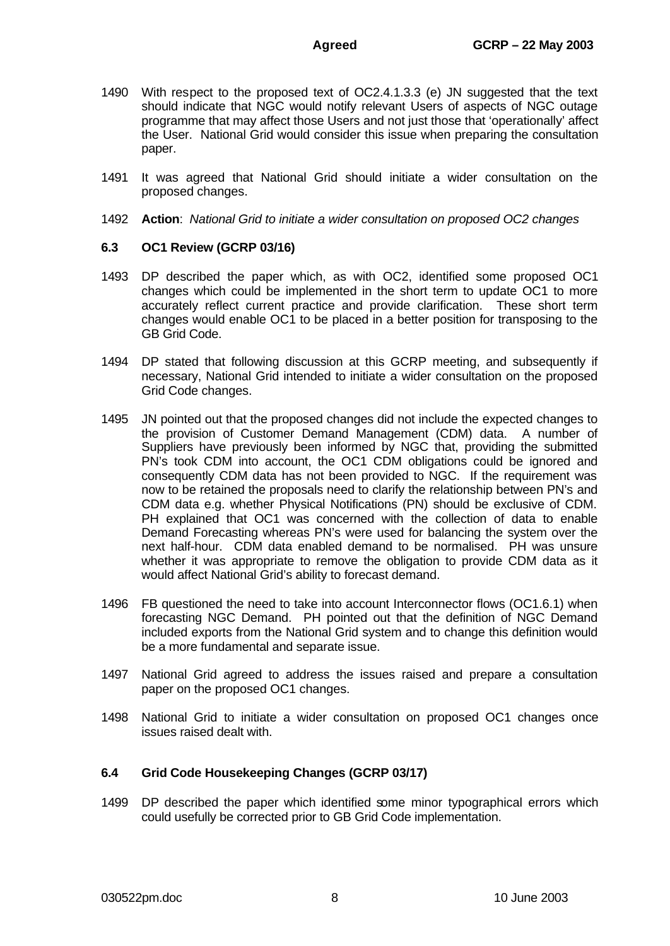- 1490 With respect to the proposed text of OC2.4.1.3.3 (e) JN suggested that the text should indicate that NGC would notify relevant Users of aspects of NGC outage programme that may affect those Users and not just those that 'operationally' affect the User. National Grid would consider this issue when preparing the consultation paper.
- 1491 It was agreed that National Grid should initiate a wider consultation on the proposed changes.
- 1492 **Action**: *National Grid to initiate a wider consultation on proposed OC2 changes*

### **6.3 OC1 Review (GCRP 03/16)**

- 1493 DP described the paper which, as with OC2, identified some proposed OC1 changes which could be implemented in the short term to update OC1 to more accurately reflect current practice and provide clarification. These short term changes would enable OC1 to be placed in a better position for transposing to the GB Grid Code.
- 1494 DP stated that following discussion at this GCRP meeting, and subsequently if necessary, National Grid intended to initiate a wider consultation on the proposed Grid Code changes.
- 1495 JN pointed out that the proposed changes did not include the expected changes to the provision of Customer Demand Management (CDM) data. A number of Suppliers have previously been informed by NGC that, providing the submitted PN's took CDM into account, the OC1 CDM obligations could be ignored and consequently CDM data has not been provided to NGC. If the requirement was now to be retained the proposals need to clarify the relationship between PN's and CDM data e.g. whether Physical Notifications (PN) should be exclusive of CDM. PH explained that OC1 was concerned with the collection of data to enable Demand Forecasting whereas PN's were used for balancing the system over the next half-hour. CDM data enabled demand to be normalised. PH was unsure whether it was appropriate to remove the obligation to provide CDM data as it would affect National Grid's ability to forecast demand.
- 1496 FB questioned the need to take into account Interconnector flows (OC1.6.1) when forecasting NGC Demand. PH pointed out that the definition of NGC Demand included exports from the National Grid system and to change this definition would be a more fundamental and separate issue.
- 1497 National Grid agreed to address the issues raised and prepare a consultation paper on the proposed OC1 changes.
- 1498 National Grid to initiate a wider consultation on proposed OC1 changes once issues raised dealt with.

### **6.4 Grid Code Housekeeping Changes (GCRP 03/17)**

1499 DP described the paper which identified some minor typographical errors which could usefully be corrected prior to GB Grid Code implementation.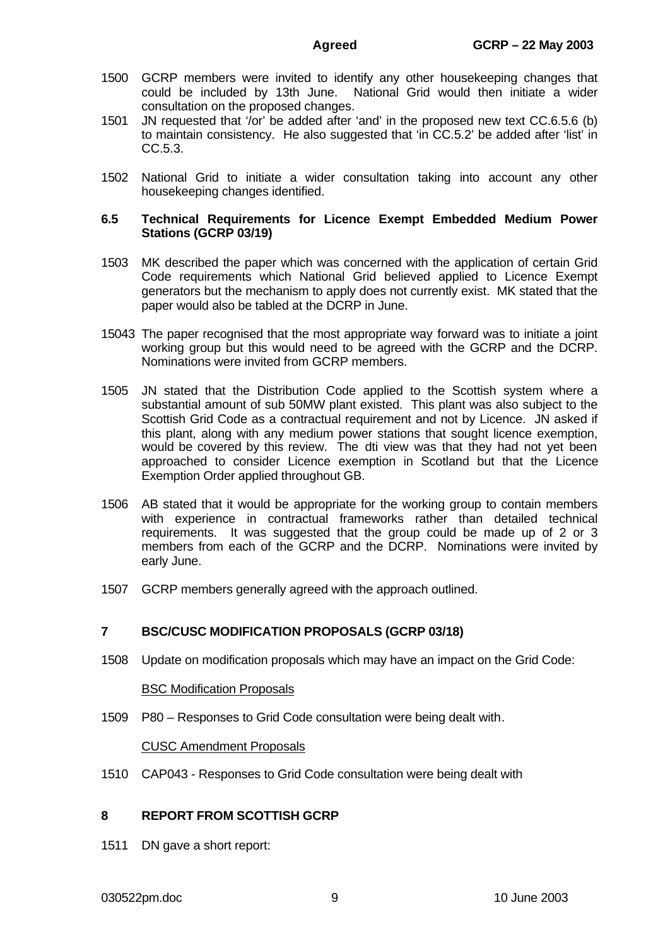- 1500 GCRP members were invited to identify any other housekeeping changes that could be included by 13th June. National Grid would then initiate a wider consultation on the proposed changes.
- 1501 JN requested that '/or' be added after 'and' in the proposed new text CC.6.5.6 (b) to maintain consistency. He also suggested that 'in CC.5.2' be added after 'list' in CC.5.3.
- 1502 National Grid to initiate a wider consultation taking into account any other housekeeping changes identified.

#### **6.5 Technical Requirements for Licence Exempt Embedded Medium Power Stations (GCRP 03/19)**

- 1503 MK described the paper which was concerned with the application of certain Grid Code requirements which National Grid believed applied to Licence Exempt generators but the mechanism to apply does not currently exist. MK stated that the paper would also be tabled at the DCRP in June.
- 15043 The paper recognised that the most appropriate way forward was to initiate a joint working group but this would need to be agreed with the GCRP and the DCRP. Nominations were invited from GCRP members.
- 1505 JN stated that the Distribution Code applied to the Scottish system where a substantial amount of sub 50MW plant existed. This plant was also subject to the Scottish Grid Code as a contractual requirement and not by Licence. JN asked if this plant, along with any medium power stations that sought licence exemption, would be covered by this review. The dti view was that they had not yet been approached to consider Licence exemption in Scotland but that the Licence Exemption Order applied throughout GB.
- 1506 AB stated that it would be appropriate for the working group to contain members with experience in contractual frameworks rather than detailed technical requirements. It was suggested that the group could be made up of 2 or 3 members from each of the GCRP and the DCRP. Nominations were invited by early June.
- 1507 GCRP members generally agreed with the approach outlined.

### **7 BSC/CUSC MODIFICATION PROPOSALS (GCRP 03/18)**

1508 Update on modification proposals which may have an impact on the Grid Code:

#### BSC Modification Proposals

1509 P80 – Responses to Grid Code consultation were being dealt with.

CUSC Amendment Proposals

1510 CAP043 - Responses to Grid Code consultation were being dealt with

#### **8 REPORT FROM SCOTTISH GCRP**

1511 DN gave a short report:

#### 030522pm.doc 9 10 June 2003